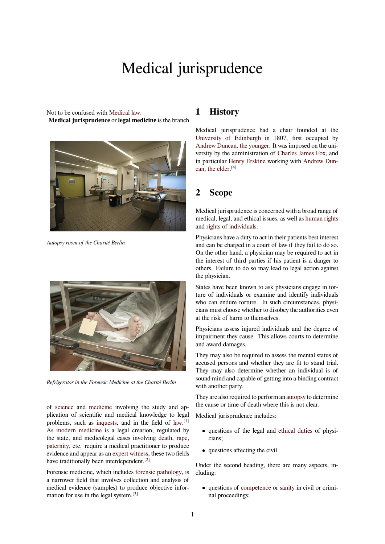# Medical jurisprudence

Not to be confused with Medical law. **Medical jurisprudence** or **legal medicine** is the branch



*Autopsy room of the Charité Berlin*



*Refrigerator in the Forensic Medicine at the Charité Berlin*

of science and medicine involving the study and application of scientific and medical knowledge to legal problems, such as inquests, and in the field of law.<sup>[1]</sup> As modern medicine is a legal creation, regulated by the [state, a](https://en.wikipedia.org/wiki/Science)nd [medicolega](https://en.wikipedia.org/wiki/Medicine)l cases involving death, rape, paternity, etc. require a medical practitioner to produce evidence and appea[r as an](https://en.wikipedia.org/wiki/Inquest) expert witness, these tw[o fiel](https://en.wikipedia.org/wiki/Law)[ds](#page-1-0) hav[e traditionally been](https://en.wikipedia.org/wiki/Modern_medicine) interdependent.<sup>[2]</sup>

Forensic medicine, which includes forensic [pathol](https://en.wikipedia.org/wiki/Death)o[gy, is](https://en.wikipedia.org/wiki/Rape) [a narrowe](https://en.wikipedia.org/wiki/Parent)r field that involves collection and analysis of medical evidence (sampl[es\) to produce](https://en.wikipedia.org/wiki/Expert_witness) [o](#page-1-1)bjective information for use in the legal system.[3]

# **1 History**

Medical jurisprudence had a chair founded at the University of Edinburgh in 1807, first occupied by Andrew Duncan, the younger. It was imposed on the university by the administration of Charles James Fox, and in particular Henry Erskine working with Andrew Dun[can, the elder.](https://en.wikipedia.org/wiki/University_of_Edinburgh) [4]

## **2 Scop[e](https://en.wikipedia.org/wiki/Henry_Erskine_(lawyer))**

Medical jurisprudence is concerned with a broad range of medical, legal, and ethical issues, as well as human rights and rights of individuals.

Physicians have a duty to act in their patients best interest and can be charged in a court of law if they fail to do so. On the other hand, a physician may be req[uired to act in](https://en.wikipedia.org/wiki/Human_right) the [interest of third par](https://en.wikipedia.org/wiki/Individual_and_group_rights)ties if his patient is a danger to others. Failure to do so may lead to legal action against the physician.

States have been known to ask physicians engage in torture of individuals or examine and identify individuals who can endure torture. In such circumstances, physicians must choose whether to disobey the authorities even at the risk of harm to themselves.

Physicians assess injured individuals and the degree of impairment they cause. This allows courts to determine and award damages.

They may also be required to assess the mental status of accused persons and whether they are fit to stand trial. They may also determine whether an individual is of sound mind and capable of getting into a binding contract with another party.

They are also required to perform an autopsy to determine the cause or time of death where this is not clear.

Medical jurisprudence includes:

- *•* questions of the legal and eth[ical duti](https://en.wikipedia.org/wiki/Autopsy)es of physicians;
- *•* questions affecting the civil

Under the second heading, ther[e are many as](https://en.wikipedia.org/wiki/Medical_ethics)pects, including:

*•* questions of competence or sanity in civil or criminal proceedings;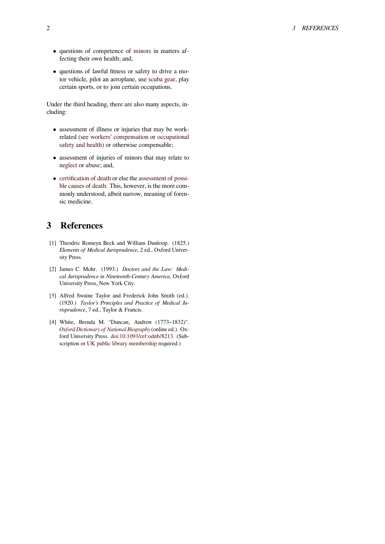- *•* questions of competence of minors in matters affecting their own health; and,
- *•* questions of lawful fitness or safety to drive a motor vehicle, pilot an aeroplane, use scuba gear, play certain sports, or to join cert[ain occu](https://en.wikipedia.org/wiki/Minor_(law))pations.

Under the third heading, there are also many aspects, including:

- *•* assessment of illness or injuries that may be workrelated (see workers' compensation or occupational safety and health) or otherwise compensable;
- *•* assessment of injuries of minors that may relate to neglect or a[buse; and,](https://en.wikipedia.org/wiki/Workers%2527_compensation)
- *•* [certification of de](https://en.wikipedia.org/wiki/Occupational_safety_and_health)ath or else the assessment of possible causes of death. This, however, is the more com[monly u](https://en.wikipedia.org/wiki/Neglect_(English_law))n[derstoo](https://en.wikipedia.org/wiki/Child_abuse)d, albeit narrow, meaning of forensic medicine.

# **3 [References](https://en.wikipedia.org/wiki/Coroner)**

- [1] Theodric Romeyn Beck and William Dunloop. (1825.) *Elements of Medical Jurisprudence*, 2 ed., Oxford University Press.
- <span id="page-1-0"></span>[2] James C. Mohr. (1993.) *Doctors and the Law: Medical Jurisprudence in Nineteenth-Century America*, Oxford University Press, New York City.
- <span id="page-1-1"></span>[3] Alfred Swaine Taylor and Frederick John Smith (ed.). (1920.) *Taylor's Principles and Practice of Medical Jurisprudence*, 7 ed., Taylor & Francis.
- <span id="page-1-2"></span>[4] White, Brenda M. "Duncan, Andrew (1773–1832)". *Oxford Dictionary of National Biography* (online ed.). Oxford University Press. doi:10.1093/ref:odnb/8213. (Subscription or UK public library membership required.)